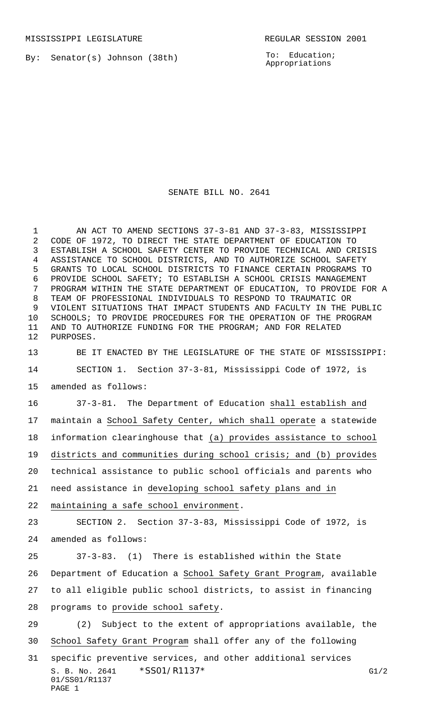By: Senator(s) Johnson (38th)

To: Education; Appropriations

## SENATE BILL NO. 2641

 AN ACT TO AMEND SECTIONS 37-3-81 AND 37-3-83, MISSISSIPPI CODE OF 1972, TO DIRECT THE STATE DEPARTMENT OF EDUCATION TO ESTABLISH A SCHOOL SAFETY CENTER TO PROVIDE TECHNICAL AND CRISIS ASSISTANCE TO SCHOOL DISTRICTS, AND TO AUTHORIZE SCHOOL SAFETY GRANTS TO LOCAL SCHOOL DISTRICTS TO FINANCE CERTAIN PROGRAMS TO PROVIDE SCHOOL SAFETY; TO ESTABLISH A SCHOOL CRISIS MANAGEMENT PROGRAM WITHIN THE STATE DEPARTMENT OF EDUCATION, TO PROVIDE FOR A TEAM OF PROFESSIONAL INDIVIDUALS TO RESPOND TO TRAUMATIC OR VIOLENT SITUATIONS THAT IMPACT STUDENTS AND FACULTY IN THE PUBLIC SCHOOLS; TO PROVIDE PROCEDURES FOR THE OPERATION OF THE PROGRAM AND TO AUTHORIZE FUNDING FOR THE PROGRAM; AND FOR RELATED PURPOSES.

 BE IT ENACTED BY THE LEGISLATURE OF THE STATE OF MISSISSIPPI: SECTION 1. Section 37-3-81, Mississippi Code of 1972, is amended as follows:

 37-3-81. The Department of Education shall establish and maintain a School Safety Center, which shall operate a statewide information clearinghouse that (a) provides assistance to school districts and communities during school crisis; and (b) provides technical assistance to public school officials and parents who need assistance in developing school safety plans and in

maintaining a safe school environment.

PAGE 1

 SECTION 2. Section 37-3-83, Mississippi Code of 1972, is amended as follows:

 37-3-83. (1) There is established within the State Department of Education a School Safety Grant Program, available to all eligible public school districts, to assist in financing programs to provide school safety.

S. B. No. 2641 \* SS01/R1137 \* G1/2 01/SS01/R1137 (2) Subject to the extent of appropriations available, the School Safety Grant Program shall offer any of the following specific preventive services, and other additional services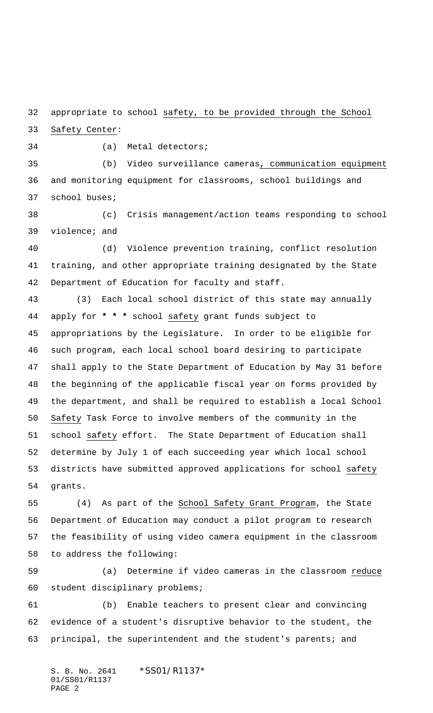appropriate to school safety, to be provided through the School

Safety Center:

(a) Metal detectors;

 (b) Video surveillance cameras, communication equipment and monitoring equipment for classrooms, school buildings and school buses;

 (c) Crisis management/action teams responding to school violence; and

 (d) Violence prevention training, conflict resolution training, and other appropriate training designated by the State Department of Education for faculty and staff.

 (3) Each local school district of this state may annually apply for **\* \* \*** school safety grant funds subject to appropriations by the Legislature. In order to be eligible for such program, each local school board desiring to participate shall apply to the State Department of Education by May 31 before the beginning of the applicable fiscal year on forms provided by the department, and shall be required to establish a local School Safety Task Force to involve members of the community in the school safety effort. The State Department of Education shall determine by July 1 of each succeeding year which local school districts have submitted approved applications for school safety grants.

 (4) As part of the School Safety Grant Program, the State Department of Education may conduct a pilot program to research the feasibility of using video camera equipment in the classroom to address the following:

 (a) Determine if video cameras in the classroom reduce student disciplinary problems;

 (b) Enable teachers to present clear and convincing evidence of a student's disruptive behavior to the student, the principal, the superintendent and the student's parents; and

S. B. No. 2641 \* SS01/R1137\* 01/SS01/R1137 PAGE 2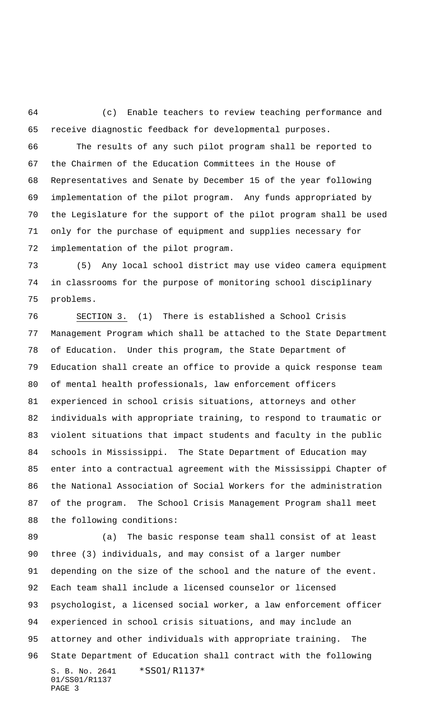(c) Enable teachers to review teaching performance and receive diagnostic feedback for developmental purposes. The results of any such pilot program shall be reported to the Chairmen of the Education Committees in the House of Representatives and Senate by December 15 of the year following implementation of the pilot program. Any funds appropriated by

 the Legislature for the support of the pilot program shall be used only for the purchase of equipment and supplies necessary for implementation of the pilot program.

 (5) Any local school district may use video camera equipment in classrooms for the purpose of monitoring school disciplinary problems.

 SECTION 3. (1) There is established a School Crisis Management Program which shall be attached to the State Department of Education. Under this program, the State Department of Education shall create an office to provide a quick response team of mental health professionals, law enforcement officers experienced in school crisis situations, attorneys and other individuals with appropriate training, to respond to traumatic or violent situations that impact students and faculty in the public schools in Mississippi. The State Department of Education may enter into a contractual agreement with the Mississippi Chapter of the National Association of Social Workers for the administration of the program. The School Crisis Management Program shall meet the following conditions:

S. B. No. 2641 \* SS01/R1137\* 01/SS01/R1137 PAGE 3 (a) The basic response team shall consist of at least three (3) individuals, and may consist of a larger number depending on the size of the school and the nature of the event. Each team shall include a licensed counselor or licensed psychologist, a licensed social worker, a law enforcement officer experienced in school crisis situations, and may include an attorney and other individuals with appropriate training. The State Department of Education shall contract with the following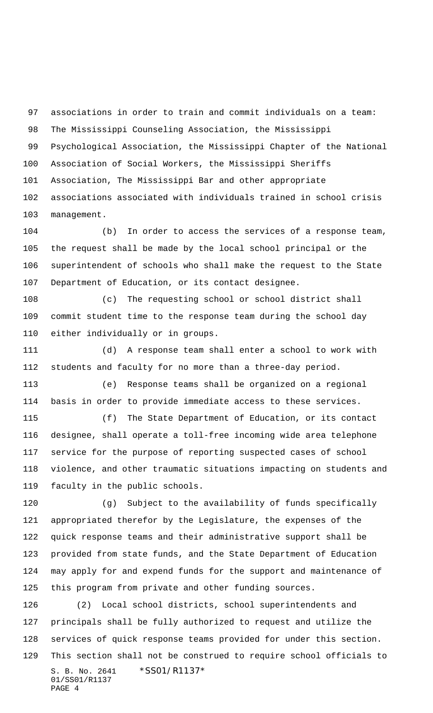associations in order to train and commit individuals on a team: The Mississippi Counseling Association, the Mississippi Psychological Association, the Mississippi Chapter of the National Association of Social Workers, the Mississippi Sheriffs Association, The Mississippi Bar and other appropriate associations associated with individuals trained in school crisis management.

 (b) In order to access the services of a response team, the request shall be made by the local school principal or the superintendent of schools who shall make the request to the State Department of Education, or its contact designee.

 (c) The requesting school or school district shall commit student time to the response team during the school day either individually or in groups.

 (d) A response team shall enter a school to work with students and faculty for no more than a three-day period.

 (e) Response teams shall be organized on a regional basis in order to provide immediate access to these services.

 (f) The State Department of Education, or its contact designee, shall operate a toll-free incoming wide area telephone service for the purpose of reporting suspected cases of school violence, and other traumatic situations impacting on students and faculty in the public schools.

 (g) Subject to the availability of funds specifically appropriated therefor by the Legislature, the expenses of the quick response teams and their administrative support shall be provided from state funds, and the State Department of Education may apply for and expend funds for the support and maintenance of this program from private and other funding sources.

S. B. No. 2641 \*SS01/R1137\* 01/SS01/R1137 PAGE 4 (2) Local school districts, school superintendents and principals shall be fully authorized to request and utilize the services of quick response teams provided for under this section. This section shall not be construed to require school officials to